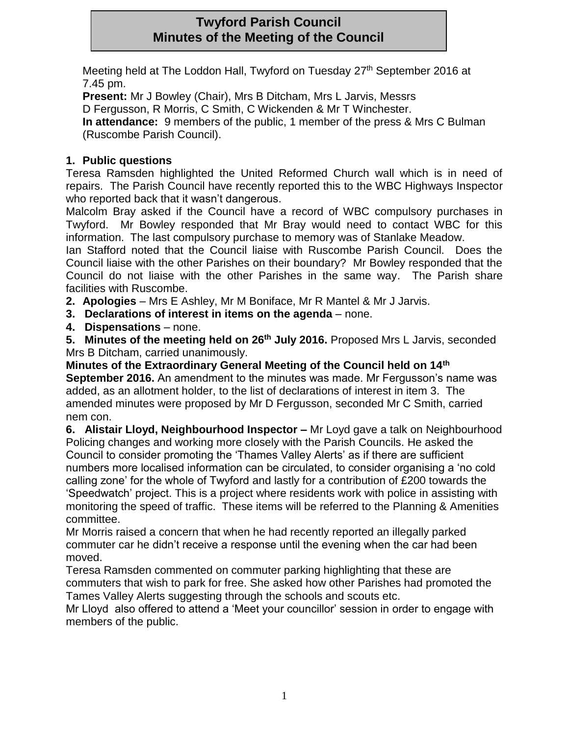# **Twyford Parish Council Minutes of the Meeting of the Council**

Meeting held at The Loddon Hall, Twyford on Tuesday 27th September 2016 at 7.45 pm.

**Present:** Mr J Bowley (Chair), Mrs B Ditcham, Mrs L Jarvis, Messrs

D Fergusson, R Morris, C Smith, C Wickenden & Mr T Winchester.

**In attendance:** 9 members of the public, 1 member of the press & Mrs C Bulman (Ruscombe Parish Council).

## **1. Public questions**

Teresa Ramsden highlighted the United Reformed Church wall which is in need of repairs. The Parish Council have recently reported this to the WBC Highways Inspector who reported back that it wasn't dangerous.

Malcolm Bray asked if the Council have a record of WBC compulsory purchases in Twyford. Mr Bowley responded that Mr Bray would need to contact WBC for this information. The last compulsory purchase to memory was of Stanlake Meadow.

Ian Stafford noted that the Council liaise with Ruscombe Parish Council. Does the Council liaise with the other Parishes on their boundary? Mr Bowley responded that the Council do not liaise with the other Parishes in the same way. The Parish share facilities with Ruscombe.

**2. Apologies** – Mrs E Ashley, Mr M Boniface, Mr R Mantel & Mr J Jarvis.

**3. Declarations of interest in items on the agenda** – none.

**4. Dispensations** – none.

**5. Minutes of the meeting held on 26th July 2016.** Proposed Mrs L Jarvis, seconded Mrs B Ditcham, carried unanimously.

**Minutes of the Extraordinary General Meeting of the Council held on 14th September 2016.** An amendment to the minutes was made. Mr Fergusson's name was added, as an allotment holder, to the list of declarations of interest in item 3. The amended minutes were proposed by Mr D Fergusson, seconded Mr C Smith, carried nem con.

**6. Alistair Lloyd, Neighbourhood Inspector –** Mr Loyd gave a talk on Neighbourhood Policing changes and working more closely with the Parish Councils. He asked the Council to consider promoting the 'Thames Valley Alerts' as if there are sufficient numbers more localised information can be circulated, to consider organising a 'no cold calling zone' for the whole of Twyford and lastly for a contribution of £200 towards the 'Speedwatch' project. This is a project where residents work with police in assisting with monitoring the speed of traffic. These items will be referred to the Planning & Amenities committee.

Mr Morris raised a concern that when he had recently reported an illegally parked commuter car he didn't receive a response until the evening when the car had been moved.

Teresa Ramsden commented on commuter parking highlighting that these are commuters that wish to park for free. She asked how other Parishes had promoted the Tames Valley Alerts suggesting through the schools and scouts etc.

Mr Lloyd also offered to attend a 'Meet your councillor' session in order to engage with members of the public.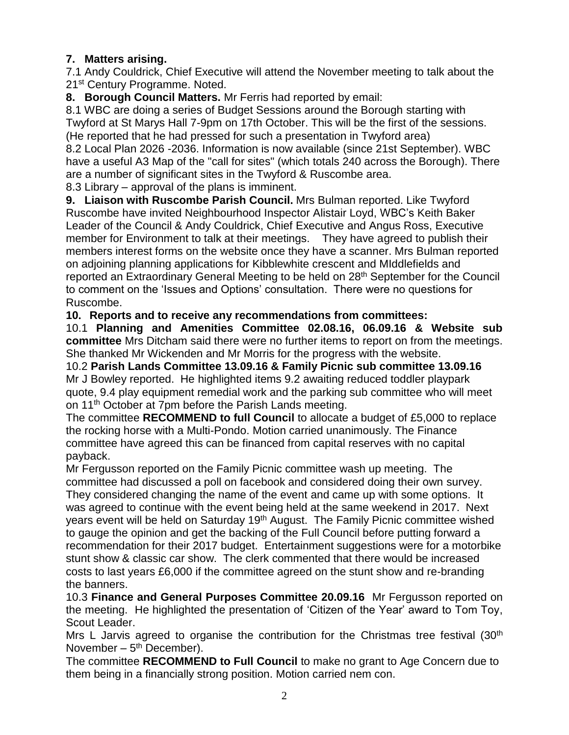## **7. Matters arising.**

7.1 Andy Couldrick, Chief Executive will attend the November meeting to talk about the 21<sup>st</sup> Century Programme. Noted.

**8. Borough Council Matters.** Mr Ferris had reported by email:

8.1 WBC are doing a series of Budget Sessions around the Borough starting with Twyford at St Marys Hall 7-9pm on 17th October. This will be the first of the sessions. (He reported that he had pressed for such a presentation in Twyford area) 8.2 Local Plan 2026 -2036. Information is now available (since 21st September). WBC

have a useful A3 Map of the "call for sites" (which totals 240 across the Borough). There are a number of significant sites in the Twyford & Ruscombe area.

8.3 Library – approval of the plans is imminent.

**9. Liaison with Ruscombe Parish Council.** Mrs Bulman reported. Like Twyford Ruscombe have invited Neighbourhood Inspector Alistair Loyd, WBC's Keith Baker Leader of the Council & Andy Couldrick, Chief Executive and Angus Ross, Executive member for Environment to talk at their meetings. They have agreed to publish their members interest forms on the website once they have a scanner. Mrs Bulman reported on adjoining planning applications for Kibblewhite crescent and MIddlefields and reported an Extraordinary General Meeting to be held on 28<sup>th</sup> September for the Council to comment on the 'Issues and Options' consultation. There were no questions for Ruscombe.

### **10. Reports and to receive any recommendations from committees:**

10.1 **Planning and Amenities Committee 02.08.16, 06.09.16 & Website sub committee** Mrs Ditcham said there were no further items to report on from the meetings. She thanked Mr Wickenden and Mr Morris for the progress with the website.

10.2 **Parish Lands Committee 13.09.16 & Family Picnic sub committee 13.09.16** Mr J Bowley reported. He highlighted items 9.2 awaiting reduced toddler playpark quote, 9.4 play equipment remedial work and the parking sub committee who will meet on 11<sup>th</sup> October at 7pm before the Parish Lands meeting.

The committee **RECOMMEND to full Council** to allocate a budget of £5,000 to replace the rocking horse with a Multi-Pondo. Motion carried unanimously. The Finance committee have agreed this can be financed from capital reserves with no capital payback.

Mr Fergusson reported on the Family Picnic committee wash up meeting. The committee had discussed a poll on facebook and considered doing their own survey. They considered changing the name of the event and came up with some options. It was agreed to continue with the event being held at the same weekend in 2017. Next years event will be held on Saturday 19<sup>th</sup> August. The Family Picnic committee wished to gauge the opinion and get the backing of the Full Council before putting forward a recommendation for their 2017 budget. Entertainment suggestions were for a motorbike stunt show & classic car show. The clerk commented that there would be increased costs to last years £6,000 if the committee agreed on the stunt show and re-branding the banners.

10.3 **Finance and General Purposes Committee 20.09.16** Mr Fergusson reported on the meeting. He highlighted the presentation of 'Citizen of the Year' award to Tom Toy, Scout Leader.

Mrs L Jarvis agreed to organise the contribution for the Christmas tree festival  $(30<sup>th</sup>)$ November – 5<sup>th</sup> December).

The committee **RECOMMEND to Full Council** to make no grant to Age Concern due to them being in a financially strong position. Motion carried nem con.